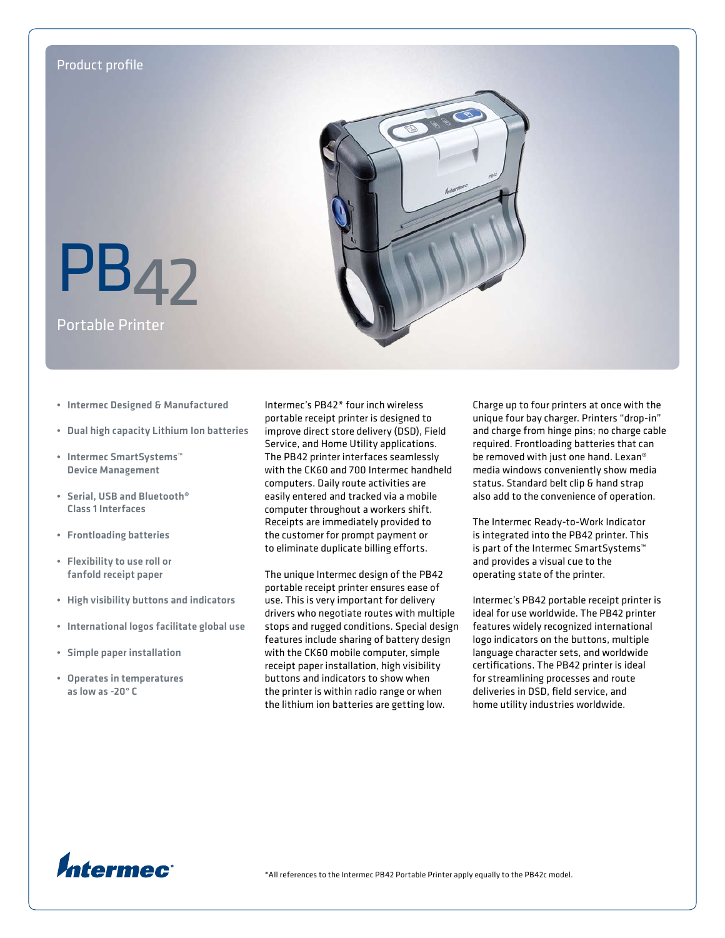

- • Intermec Designed & Manufactured
- • Dual high capacity Lithium Ion batteries
- • Intermec SmartSystems™ Device Management
- • Serial, USB and Bluetooth® Class 1 Interfaces
- • Frontloading batteries
- • Flexibility to use roll or fanfold receipt paper
- • High visibility buttons and indicators
- • International logos facilitate global use
- • Simple paper installation
- • Operates in temperatures as low as -20° C

Intermec's PB42\* four inch wireless portable receipt printer is designed to improve direct store delivery (DSD), Field Service, and Home Utility applications. The PB42 printer interfaces seamlessly with the CK60 and 700 Intermec handheld computers. Daily route activities are easily entered and tracked via a mobile computer throughout a workers shift. Receipts are immediately provided to the customer for prompt payment or to eliminate duplicate billing efforts.

The unique Intermec design of the PB42 portable receipt printer ensures ease of use. This is very important for delivery drivers who negotiate routes with multiple stops and rugged conditions. Special design features include sharing of battery design with the CK60 mobile computer, simple receipt paper installation, high visibility buttons and indicators to show when the printer is within radio range or when the lithium ion batteries are getting low.

Charge up to four printers at once with the unique four bay charger. Printers "drop-in" and charge from hinge pins; no charge cable required. Frontloading batteries that can be removed with just one hand. Lexan® media windows conveniently show media status. Standard belt clip & hand strap also add to the convenience of operation.

The Intermec Ready-to-Work Indicator is integrated into the PB42 printer. This is part of the Intermec SmartSystems™ and provides a visual cue to the operating state of the printer.

Intermec's PB42 portable receipt printer is ideal for use worldwide. The PB42 printer features widely recognized international logo indicators on the buttons, multiple language character sets, and worldwide certifications. The PB42 printer is ideal for streamlining processes and route deliveries in DSD, field service, and home utility industries worldwide.